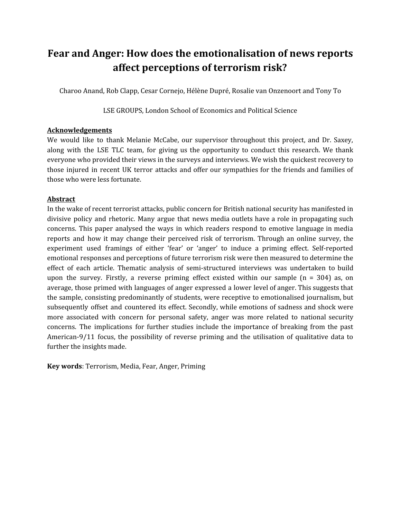# **Fear and Anger: How does the emotionalisation of news reports affect perceptions of terrorism risk?**

Charoo Anand, Rob Clapp, Cesar Cornejo, Hélène Dupré, Rosalie van Onzenoort and Tony To

LSE GROUPS, London School of Economics and Political Science

## **Acknowledgements**

We would like to thank Melanie McCabe, our supervisor throughout this project, and Dr. Saxey, along with the LSE TLC team, for giving us the opportunity to conduct this research. We thank everyone who provided their views in the surveys and interviews. We wish the quickest recovery to those injured in recent UK terror attacks and offer our sympathies for the friends and families of those who were less fortunate.

## **Abstract**

In the wake of recent terrorist attacks, public concern for British national security has manifested in divisive policy and rhetoric. Many argue that news media outlets have a role in propagating such concerns. This paper analysed the ways in which readers respond to emotive language in media reports and how it may change their perceived risk of terrorism. Through an online survey, the experiment used framings of either 'fear' or 'anger' to induce a priming effect. Self-reported emotional responses and perceptions of future terrorism risk were then measured to determine the effect of each article. Thematic analysis of semi-structured interviews was undertaken to build upon the survey. Firstly, a reverse priming effect existed within our sample  $(n = 304)$  as, on average, those primed with languages of anger expressed a lower level of anger. This suggests that the sample, consisting predominantly of students, were receptive to emotionalised journalism, but subsequently offset and countered its effect. Secondly, while emotions of sadness and shock were more associated with concern for personal safety, anger was more related to national security concerns. The implications for further studies include the importance of breaking from the past American-9/11 focus, the possibility of reverse priming and the utilisation of qualitative data to further the insights made.

**Key words**: Terrorism, Media, Fear, Anger, Priming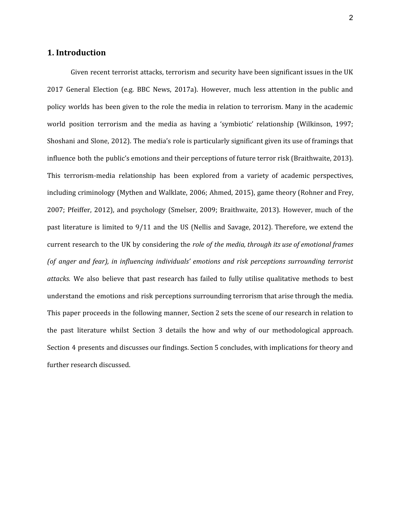## **1. Introduction**

Given recent terrorist attacks, terrorism and security have been significant issues in the UK 2017 General Election (e.g. BBC News, 2017a). However, much less attention in the public and policy worlds has been given to the role the media in relation to terrorism. Many in the academic world position terrorism and the media as having a 'symbiotic' relationship (Wilkinson, 1997; Shoshani and Slone, 2012). The media's role is particularly significant given its use of framings that influence both the public's emotions and their perceptions of future terror risk (Braithwaite, 2013). This terrorism-media relationship has been explored from a variety of academic perspectives, including criminology (Mythen and Walklate, 2006; Ahmed, 2015), game theory (Rohner and Frey, 2007; Pfeiffer, 2012), and psychology (Smelser, 2009; Braithwaite, 2013). However, much of the past literature is limited to 9/11 and the US (Nellis and Savage, 2012). Therefore, we extend the current research to the UK by considering the *role of the media, through its use of emotional frames (of anger and fear), in influencing individuals' emotions and risk perceptions surrounding terrorist attacks.* We also believe that past research has failed to fully utilise qualitative methods to best understand the emotions and risk perceptions surrounding terrorism that arise through the media. This paper proceeds in the following manner, Section 2 sets the scene of our research in relation to the past literature whilst Section 3 details the how and why of our methodological approach. Section 4 presents and discusses our findings. Section 5 concludes, with implications for theory and further research discussed.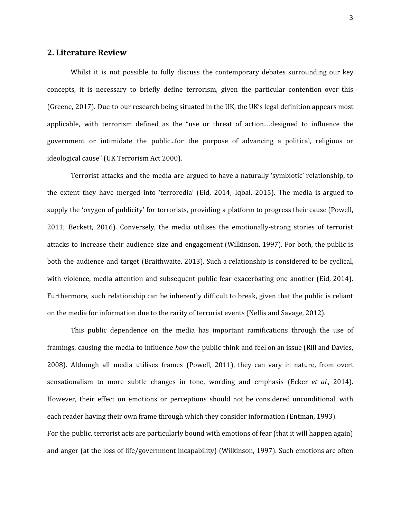## **2. Literature Review**

Whilst it is not possible to fully discuss the contemporary debates surrounding our key concepts, it is necessary to briefly define terrorism, given the particular contention over this (Greene, 2017). Due to our research being situated in the UK, the UK's legal definition appears most applicable, with terrorism defined as the "use or threat of action…designed to influence the government or intimidate the public...for the purpose of advancing a political, religious or ideological cause" (UK Terrorism Act 2000).

Terrorist attacks and the media are argued to have a naturally 'symbiotic' relationship, to the extent they have merged into 'terroredia' (Eid, 2014; Iqbal, 2015). The media is argued to supply the 'oxygen of publicity' for terrorists, providing a platform to progress their cause (Powell, 2011; Beckett, 2016). Conversely, the media utilises the emotionally-strong stories of terrorist attacks to increase their audience size and engagement (Wilkinson, 1997). For both, the public is both the audience and target (Braithwaite, 2013). Such a relationship is considered to be cyclical, with violence, media attention and subsequent public fear exacerbating one another (Eid, 2014). Furthermore, such relationship can be inherently difficult to break, given that the public is reliant on the media for information due to the rarity of terrorist events (Nellis and Savage, 2012).

This public dependence on the media has important ramifications through the use of framings, causing the media to influence *how* the public think and feel on an issue (Rill and Davies, 2008). Although all media utilises frames (Powell, 2011), they can vary in nature, from overt sensationalism to more subtle changes in tone, wording and emphasis (Ecker *et al.*, 2014). However, their effect on emotions or perceptions should not be considered unconditional, with each reader having their own frame through which they consider information (Entman, 1993). For the public, terrorist acts are particularly bound with emotions of fear (that it will happen again) and anger (at the loss of life/government incapability) (Wilkinson, 1997). Such emotions are often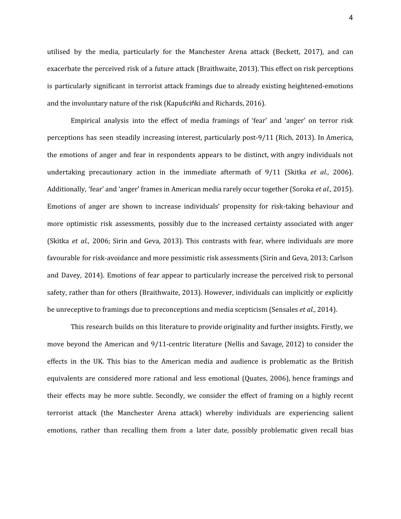utilised by the media, particularly for the Manchester Arena attack (Beckett, 2017), and can exacerbate the perceived risk of a future attack (Braithwaite, 2013). This effect on risk perceptions is particularly significant in terrorist attack framings due to already existing heightened-emotions and the involuntary nature of the risk (Kapuścińki and Richards, 2016).

Empirical analysis into the effect of media framings of 'fear' and 'anger' on terror risk perceptions has seen steadily increasing interest, particularly post-9/11 (Rich, 2013). In America, the emotions of anger and fear in respondents appears to be distinct, with angry individuals not undertaking precautionary action in the immediate aftermath of 9/11 (Skitka *et al.*, 2006). Additionally, 'fear' and 'anger' frames in American media rarely occur together (Soroka *et al.*, 2015). Emotions of anger are shown to increase individuals' propensity for risk-taking behaviour and more optimistic risk assessments, possibly due to the increased certainty associated with anger (Skitka *et al.*, 2006; Sirin and Geva, 2013). This contrasts with fear, where individuals are more favourable for risk-avoidance and more pessimistic risk assessments (Sirin and Geva, 2013; Carlson and Davey, 2014). Emotions of fear appear to particularly increase the perceived risk to personal safety, rather than for others (Braithwaite, 2013). However, individuals can implicitly or explicitly be unreceptive to framings due to preconceptions and media scepticism (Sensales *et al.*, 2014).

This research builds on this literature to provide originality and further insights. Firstly, we move beyond the American and 9/11-centric literature (Nellis and Savage, 2012) to consider the effects in the UK. This bias to the American media and audience is problematic as the British equivalents are considered more rational and less emotional (Quates, 2006), hence framings and their effects may be more subtle. Secondly, we consider the effect of framing on a highly recent terrorist attack (the Manchester Arena attack) whereby individuals are experiencing salient emotions, rather than recalling them from a later date, possibly problematic given recall bias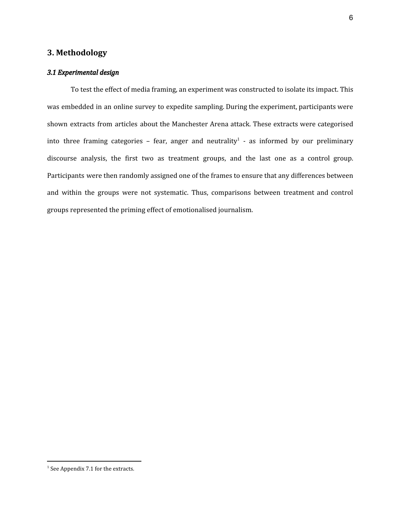## **3. Methodology**

### *3.1 Experimental design*

To test the effect of media framing, an experiment was constructed to isolate its impact. This was embedded in an online survey to expedite sampling. During the experiment, participants were shown extracts from articles about the Manchester Arena attack. These extracts were categorised into three framing categories – fear, anger and neutrality<sup>1</sup> - as informed by our preliminary discourse analysis, the first two as treatment groups, and the last one as a control group. Participants were then randomly assigned one of the frames to ensure that any differences between and within the groups were not systematic. Thus, comparisons between treatment and control groups represented the priming effect of emotionalised journalism.

<sup>&</sup>lt;sup>1</sup> See Appendix 7.1 for the extracts.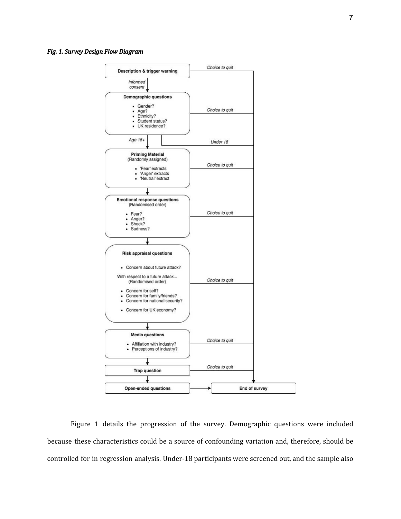#### *Fig. 1. Survey Design Flow Diagram*



Figure 1 details the progression of the survey. Demographic questions were included because these characteristics could be a source of confounding variation and, therefore, should be controlled for in regression analysis. Under-18 participants were screened out, and the sample also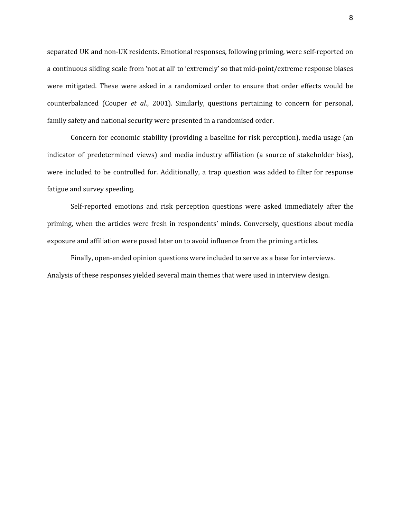separated UK and non-UK residents. Emotional responses, following priming, were self-reported on a continuous sliding scale from 'not at all' to 'extremely' so that mid-point/extreme response biases were mitigated. These were asked in a randomized order to ensure that order effects would be counterbalanced (Couper *et al.*, 2001). Similarly, questions pertaining to concern for personal, family safety and national security were presented in a randomised order.

Concern for economic stability (providing a baseline for risk perception), media usage (an indicator of predetermined views) and media industry affiliation (a source of stakeholder bias), were included to be controlled for. Additionally, a trap question was added to filter for response fatigue and survey speeding.

Self-reported emotions and risk perception questions were asked immediately after the priming, when the articles were fresh in respondents' minds. Conversely, questions about media exposure and affiliation were posed later on to avoid influence from the priming articles.

Finally, open-ended opinion questions were included to serve as a base for interviews. Analysis of these responses yielded several main themes that were used in interview design.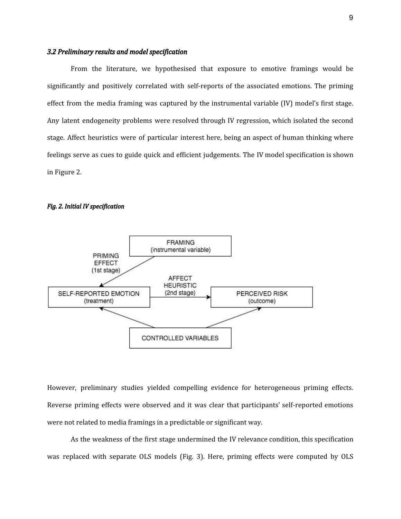### *3.2 Preliminary results and model specification*

From the literature, we hypothesised that exposure to emotive framings would be significantly and positively correlated with self-reports of the associated emotions. The priming effect from the media framing was captured by the instrumental variable (IV) model's first stage. Any latent endogeneity problems were resolved through IV regression, which isolated the second stage. Affect heuristics were of particular interest here, being an aspect of human thinking where feelings serve as cues to guide quick and efficient judgements. The IV model specification is shown in Figure 2.

#### *Fig. 2. Initial IV specification*



However, preliminary studies yielded compelling evidence for heterogeneous priming effects. Reverse priming effects were observed and it was clear that participants' self-reported emotions were not related to media framings in a predictable or significant way.

As the weakness of the first stage undermined the IV relevance condition, this specification was replaced with separate OLS models (Fig. 3). Here, priming effects were computed by OLS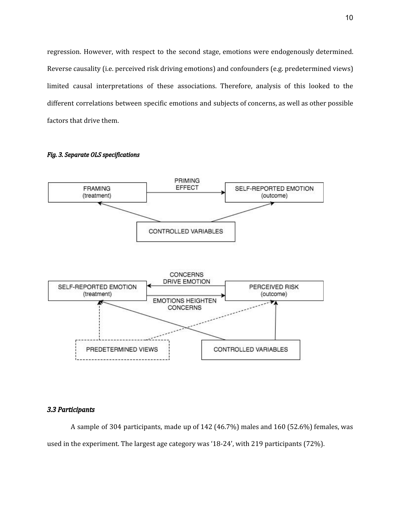regression. However, with respect to the second stage, emotions were endogenously determined. Reverse causality (i.e. perceived risk driving emotions) and confounders (e.g. predetermined views) limited causal interpretations of these associations. Therefore, analysis of this looked to the different correlations between specific emotions and subjects of concerns, as well as other possible factors that drive them.



#### *Fig. 3. Separate OLS specifications*

### *3.3 Participants*

A sample of 304 participants, made up of 142 (46.7%) males and 160 (52.6%) females, was used in the experiment. The largest age category was '18-24', with 219 participants (72%).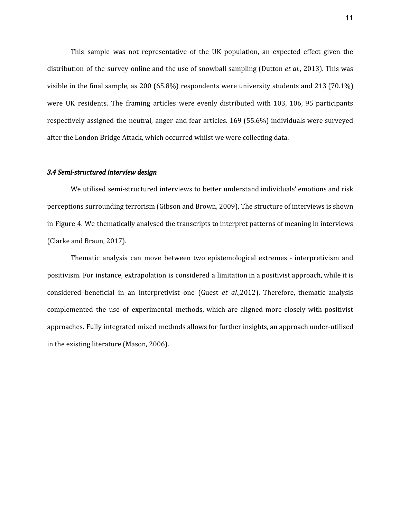This sample was not representative of the UK population, an expected effect given the distribution of the survey online and the use of snowball sampling (Dutton *et al.*, 2013). This was visible in the final sample, as 200 (65.8%) respondents were university students and 213 (70.1%) were UK residents. The framing articles were evenly distributed with 103, 106, 95 participants respectively assigned the neutral, anger and fear articles. 169 (55.6%) individuals were surveyed after the London Bridge Attack, which occurred whilst we were collecting data.

#### *3.4 Semi-structured interview design*

We utilised semi-structured interviews to better understand individuals' emotions and risk perceptions surrounding terrorism (Gibson and Brown, 2009). The structure of interviews is shown in Figure 4. We thematically analysed the transcripts to interpret patterns of meaning in interviews (Clarke and Braun, 2017).

Thematic analysis can move between two epistemological extremes - interpretivism and positivism. For instance, extrapolation is considered a limitation in a positivist approach, while it is considered beneficial in an interpretivist one (Guest *et al.*,2012). Therefore, thematic analysis complemented the use of experimental methods, which are aligned more closely with positivist approaches. Fully integrated mixed methods allows for further insights, an approach under-utilised in the existing literature (Mason, 2006).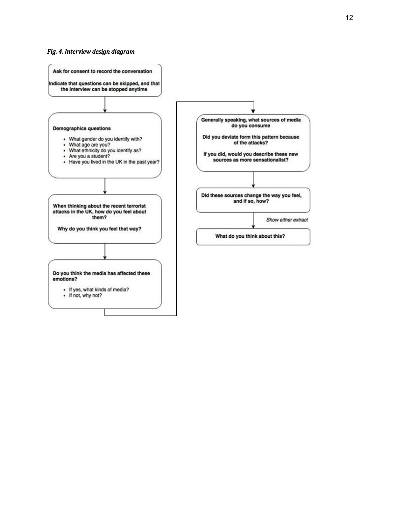#### *Fig.* 4. Interview design diagram

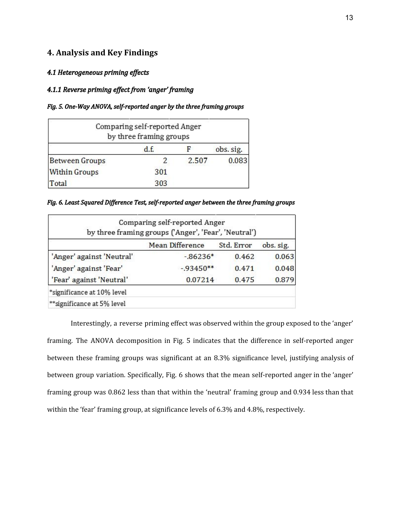## **4. Analysis and Key Findings**

## *4.1 Heterogeneous priming ef ects*

## *4.1.1 Reverse priming ef ect from 'anger' framing*

### *Fig. 5. One-Way ANOVA, self-reported anger by the three framing groups*

|                       | Comparing self-reported Anger<br>by three framing groups |       |           |
|-----------------------|----------------------------------------------------------|-------|-----------|
|                       | d.f.                                                     |       | obs. sig. |
| <b>Between Groups</b> |                                                          | 2.507 | 0.083     |
| <b>Within Groups</b>  | 301                                                      |       |           |
| Total                 | 303                                                      |       |           |

*Fig. 6. Least Squared Dif erence Test, self-reported anger between the three framing groups*

|                             | Comparing self-reported Anger<br>by three framing groups ('Anger', 'Fear', 'Neutral') |            |           |
|-----------------------------|---------------------------------------------------------------------------------------|------------|-----------|
|                             | <b>Mean Difference</b>                                                                | Std. Error | obs. sig. |
| 'Anger' against 'Neutral'   | $-0.86236*$                                                                           | 0.462      | 0.063     |
| 'Anger' against 'Fear'      | $-93450**$                                                                            | 0.471      | 0.048     |
| 'Fear' against 'Neutral'    | 0.07214                                                                               | 0.475      | 0.879     |
| *significance at 10% level  |                                                                                       |            |           |
| ** significance at 5% level |                                                                                       |            |           |

Interestingly, a reverse priming effect was observed within the group exposed to the 'anger' framing. The ANOVA decomposition in Fig. 5 indicates that the difference in self-reported anger between these framing groups was significant at an 8.3% significance level, justifying analysis of between group variation. Specifically, Fig. 6 shows that the mean self-reported anger in the 'anger' framing group was 0.862 less than that within the 'neutral' framing group and 0.934 less than that within the 'fear' framing group, at significance levels of 6.3% and 4.8%, respectively.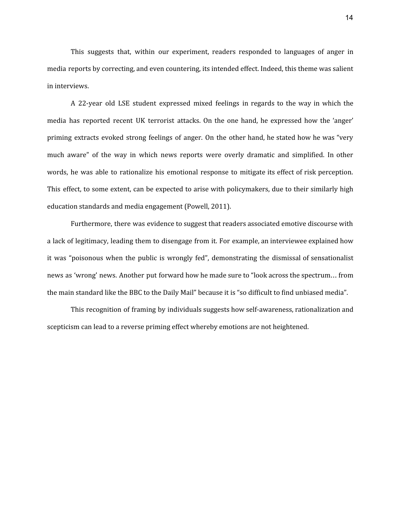This suggests that, within our experiment, readers responded to languages of anger in media reports by correcting, and even countering, its intended effect. Indeed, this theme was salient in interviews.

A 22-year old LSE student expressed mixed feelings in regards to the way in which the media has reported recent UK terrorist attacks. On the one hand, he expressed how the 'anger' priming extracts evoked strong feelings of anger. On the other hand, he stated how he was "very much aware" of the way in which news reports were overly dramatic and simplified. In other words, he was able to rationalize his emotional response to mitigate its effect of risk perception. This effect, to some extent, can be expected to arise with policymakers, due to their similarly high education standards and media engagement (Powell, 2011).

Furthermore, there was evidence to suggest that readers associated emotive discourse with a lack of legitimacy, leading them to disengage from it. For example, an interviewee explained how it was "poisonous when the public is wrongly fed", demonstrating the dismissal of sensationalist news as 'wrong' news. Another put forward how he made sure to "look across the spectrum… from the main standard like the BBC to the Daily Mail" because it is "so difficult to find unbiased media".

This recognition of framing by individuals suggests how self-awareness, rationalization and scepticism can lead to a reverse priming effect whereby emotions are not heightened.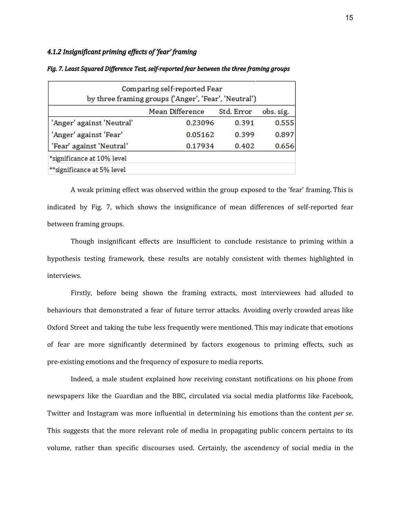## *4.1.2 Insignificant priming ef ects of 'fear' framing*

|                            | Comparing self-reported Fear<br>by three framing groups ('Anger', 'Fear', 'Neutral') |            |           |
|----------------------------|--------------------------------------------------------------------------------------|------------|-----------|
|                            | <b>Mean Difference</b>                                                               | Std. Error | obs. sig. |
| 'Anger' against 'Neutral'  | 0.23096                                                                              | 0.391      | 0.555     |
| 'Anger' against 'Fear'     | 0.05162                                                                              | 0.399      | 0.897     |
| 'Fear' against 'Neutral'   | 0.17934                                                                              | 0.402      | 0.656     |
| *significance at 10% level |                                                                                      |            |           |
| **significance at 5% level |                                                                                      |            |           |

#### *Fig. 7. Least Squared Dif erence Test, self-reported fear between the three framing groups*

A weak priming effect was observed within the group exposed to the 'fear' framing. This is indicated by Fig. 7, which shows the insignificance of mean differences of self-reported fear between framing groups.

Though insignificant effects are insufficient to conclude resistance to priming within a hypothesis testing framework, these results are notably consistent with themes highlighted in interviews.

Firstly, before being shown the framing extracts, most interviewees had alluded to behaviours that demonstrated a fear of future terror attacks. Avoiding overly crowded areas like Oxford Street and taking the tube less frequently were mentioned. This may indicate that emotions of fear are more significantly determined by factors exogenous to priming effects, such as pre-existing emotions and the frequency of exposure to media reports.

Indeed, a male student explained how receiving constant notifications on his phone from newspapers like the Guardian and the BBC, circulated via social media platforms like Facebook, Twitter and Instagram was more influential in determining his emotions than the content *per se*. This suggests that the more relevant role of media in propagating public concern pertains to its volume, rather than specific discourses used. Certainly, the ascendency of social media in the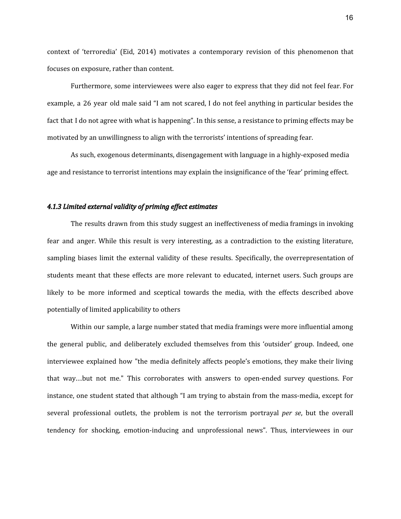context of 'terroredia' (Eid, 2014) motivates a contemporary revision of this phenomenon that focuses on exposure, rather than content.

Furthermore, some interviewees were also eager to express that they did not feel fear. For example, a 26 year old male said "I am not scared, I do not feel anything in particular besides the fact that I do not agree with what is happening". In this sense, a resistance to priming effects may be motivated by an unwillingness to align with the terrorists' intentions of spreading fear.

As such, exogenous determinants, disengagement with language in a highly-exposed media age and resistance to terrorist intentions may explain the insignificance of the 'fear' priming effect.

#### *4.1.3 Limited external validity of priming ef ect estimates*

The results drawn from this study suggest an ineffectiveness of media framings in invoking fear and anger. While this result is very interesting, as a contradiction to the existing literature, sampling biases limit the external validity of these results. Specifically, the overrepresentation of students meant that these effects are more relevant to educated, internet users. Such groups are likely to be more informed and sceptical towards the media, with the effects described above potentially of limited applicability to others

Within our sample, a large number stated that media framings were more influential among the general public, and deliberately excluded themselves from this 'outsider' group. Indeed, one interviewee explained how "the media definitely affects people's emotions, they make their living that way…but not me." This corroborates with answers to open-ended survey questions. For instance, one student stated that although "I am trying to abstain from the mass-media, except for several professional outlets, the problem is not the terrorism portrayal *per se*, but the overall tendency for shocking, emotion-inducing and unprofessional news". Thus, interviewees in our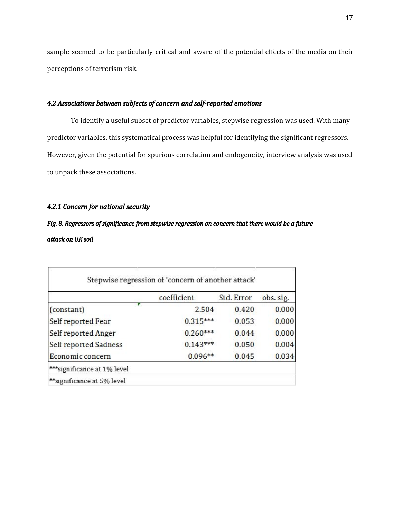sample seemed to be particularly critical and aware of the potential effects of the media on their perceptions of terrorism risk.

### *4.2 Associations between subjects of concern and self-reported emotions*

To identify a useful subset of predictor variables, stepwise regression was used. With many predictor variables, this systematical process was helpful for identifying the significant regressors. However, given the potential for spurious correlation and endogeneity, interview analysis was used to unpack these associations.

## *4.2.1 Concern for national security*

# *Fig. 8. Regressors of significance from stepwise regression on concern that there would be a future attack on UK soil*

|                             | coefficient | Std. Error | obs. sig. |
|-----------------------------|-------------|------------|-----------|
| (constant)                  | 2.504       | 0.420      | 0.000     |
| Self reported Fear          | $0.315***$  | 0.053      | 0.000     |
| Self reported Anger         | $0.260***$  | 0.044      | 0.000     |
| Self reported Sadness       | $0.143***$  | 0.050      | 0.004     |
| Economic concern            | $0.096**$   | 0.045      | 0.034     |
| ***significance at 1% level |             |            |           |
| **significance at 5% level  |             |            |           |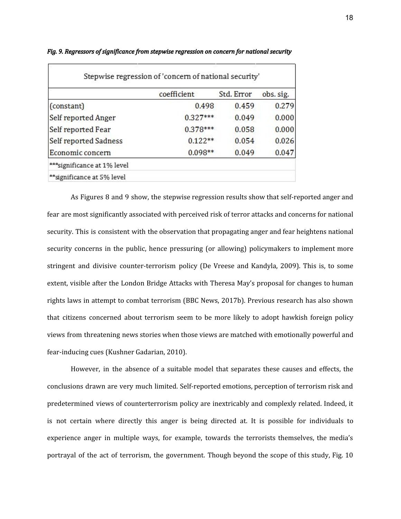|                       | coefficient | Std. Error | obs. sig. |
|-----------------------|-------------|------------|-----------|
| (constant)            | 0.498       | 0.459      | 0.279     |
| Self reported Anger   | $0.327***$  | 0.049      | 0.000     |
| Self reported Fear    | $0.378***$  | 0.058      | 0.000     |
| Self reported Sadness | $0.122**$   | 0.054      | 0.026     |
| Economic concern      | $0.098**$   | 0.049      | 0.047     |

*Fig. 9. Regressors of significance from stepwise regression on concern for national security* 

As Figures 8 and 9 show, the stepwise regression results show that self-reported anger and fear are most significantly associated with perceived risk of terror attacks and concerns for national security. This is consistent with the observation that propagating anger and fear heightens national security concerns in the public, hence pressuring (or allowing) policymakers to implement more stringent and divisive counter-terrorism policy (De Vreese and Kandyla, 2009). This is, to some extent, visible after the London Bridge Attacks with Theresa May's proposal for changes to human rights laws in attempt to combat terrorism (BBC News, 2017b). Previous research has also shown that citizens concerned about terrorism seem to be more likely to adopt hawkish foreign policy views from threatening news stories when those views are matched with emotionally powerful and fear-inducing cues (Kushner Gadarian, 2010).

However, in the absence of a suitable model that separates these causes and effects, the conclusions drawn are very much limited. Self-reported emotions, perception of terrorism risk and predetermined views of counterterrorism policy are inextricably and complexly related. Indeed, it is not certain where directly this anger is being directed at. It is possible for individuals to experience anger in multiple ways, for example, towards the terrorists themselves, the media's portrayal of the act of terrorism, the government. Though beyond the scope of this study, Fig. 10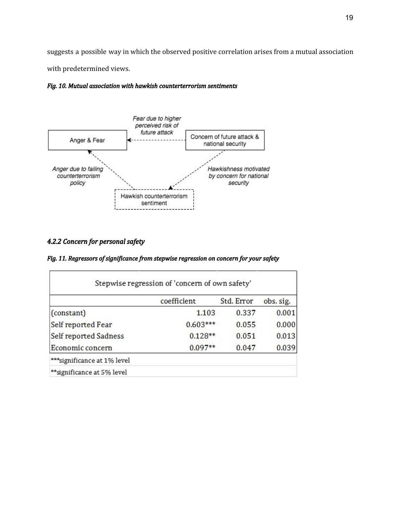suggests a possible way in which the observed positive correlation arises from a mutual association with predetermined views.





## *4.2.2 Concern for personal safety*

|  |  |  | Fig. 11. Regressors of significance from stepwise regression on concern for your safety |  |  |
|--|--|--|-----------------------------------------------------------------------------------------|--|--|
|  |  |  |                                                                                         |  |  |

|                             | coefficient | Std. Error | obs. sig. |
|-----------------------------|-------------|------------|-----------|
| (constant)                  | 1.103       | 0.337      | 0.001     |
| Self reported Fear          | $0.603***$  | 0.055      | 0.000     |
| Self reported Sadness       | $0.128**$   | 0.051      | 0.013     |
| Economic concern            | $0.097**$   | 0.047      | 0.039     |
| ***significance at 1% level |             |            |           |
| **significance at 5% level  |             |            |           |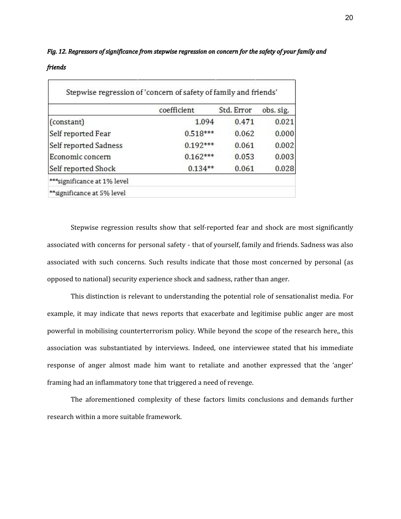# *Fig. 12. Regressors of significance from stepwise regression on concern for the safety of your family and friends*

|                             | coefficient | Std. Error | obs. sig. |
|-----------------------------|-------------|------------|-----------|
| (constant)                  | 1.094       | 0.471      | 0.021     |
| Self reported Fear          | $0.518***$  | 0.062      | 0.000     |
| Self reported Sadness       | $0.192***$  | 0.061      | 0.002     |
| Economic concern            | $0.162***$  | 0.053      | 0.003     |
| Self reported Shock         | $0.134**$   | 0.061      | 0.028     |
| ***significance at 1% level |             |            |           |
| **significance at 5% level  |             |            |           |

Stepwise regression results show that self-reported fear and shock are most significantly associated with concerns for personal safety - that of yourself, family and friends. Sadness was also associated with such concerns. Such results indicate that those most concerned by personal (as opposed to national) security experience shock and sadness, rather than anger.

This distinction is relevant to understanding the potential role of sensationalist media. For example, it may indicate that news reports that exacerbate and legitimise public anger are most powerful in mobilising counterterrorism policy. While beyond the scope of the research here,, this association was substantiated by interviews. Indeed, one interviewee stated that his immediate response of anger almost made him want to retaliate and another expressed that the 'anger' framing had an inflammatory tone that triggered a need of revenge.

The aforementioned complexity of these factors limits conclusions and demands further research within a more suitable framework.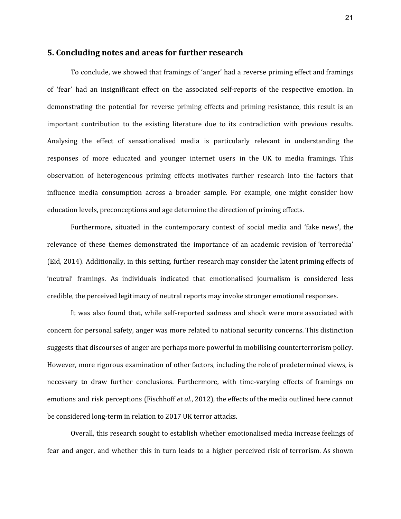## **5. Concluding notes and areas for further research**

To conclude, we showed that framings of 'anger' had a reverse priming effect and framings of 'fear' had an insignificant effect on the associated self-reports of the respective emotion. In demonstrating the potential for reverse priming effects and priming resistance, this result is an important contribution to the existing literature due to its contradiction with previous results. Analysing the effect of sensationalised media is particularly relevant in understanding the responses of more educated and younger internet users in the UK to media framings. This observation of heterogeneous priming effects motivates further research into the factors that influence media consumption across a broader sample. For example, one might consider how education levels, preconceptions and age determine the direction of priming effects.

Furthermore, situated in the contemporary context of social media and 'fake news', the relevance of these themes demonstrated the importance of an academic revision of 'terroredia' (Eid, 2014). Additionally, in this setting, further research may consider the latent priming effects of 'neutral' framings. As individuals indicated that emotionalised journalism is considered less credible, the perceived legitimacy of neutral reports may invoke stronger emotional responses.

It was also found that, while self-reported sadness and shock were more associated with concern for personal safety, anger was more related to national security concerns. This distinction suggests that discourses of anger are perhaps more powerful in mobilising counterterrorism policy. However, more rigorous examination of other factors, including the role of predetermined views, is necessary to draw further conclusions. Furthermore, with time-varying effects of framings on emotions and risk perceptions (Fischhoff *et al.*, 2012), the effects of the media outlined here cannot be considered long-term in relation to 2017 UK terror attacks.

Overall, this research sought to establish whether emotionalised media increase feelings of fear and anger, and whether this in turn leads to a higher perceived risk of terrorism. As shown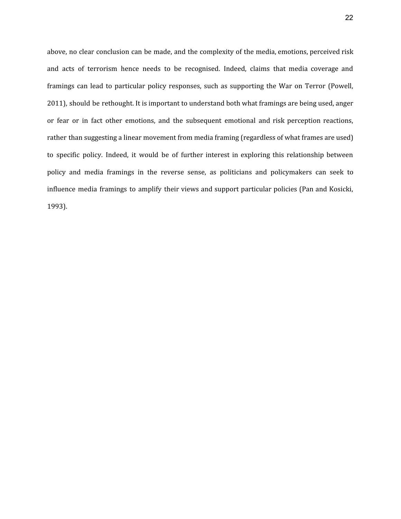above, no clear conclusion can be made, and the complexity of the media, emotions, perceived risk and acts of terrorism hence needs to be recognised. Indeed, claims that media coverage and framings can lead to particular policy responses, such as supporting the War on Terror (Powell, 2011), should be rethought. It is important to understand both what framings are being used, anger or fear or in fact other emotions, and the subsequent emotional and risk perception reactions, rather than suggesting a linear movement from media framing (regardless of what frames are used) to specific policy. Indeed, it would be of further interest in exploring this relationship between policy and media framings in the reverse sense, as politicians and policymakers can seek to influence media framings to amplify their views and support particular policies (Pan and Kosicki, 1993).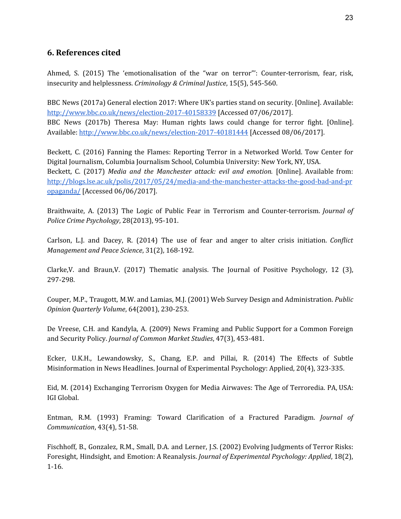# **6. References cited**

Ahmed, S. (2015) The 'emotionalisation of the "war on terror"': Counter-terrorism, fear, risk, insecurity and helplessness. *Criminology & Criminal Justice*, 15(5), 545-560.

BBC News (2017a) General election 2017: Where UK's parties stand on security. [Online]. Available[:](http://www.bbc.co.uk/news/election-2017-40158339) <http://www.bbc.co.uk/news/election-2017-40158339> [Accessed 07/06/2017]. BBC News (2017b) Theresa May: Human rights laws could change for terror fight. [Online]. Available: <http://www.bbc.co.uk/news/election-2017-40181444> [Accessed 08/06/2017].

Beckett, C. (2016) Fanning the Flames: Reporting Terror in a Networked World. Tow Center for Digital Journalism, Columbia Journalism School, Columbia University: New York, NY, USA. Beckett, C. (2017) *Media and the Manchester attack: evil and emotion.* [Online]. Available from[:](http://blogs.lse.ac.uk/polis/2017/05/24/media-and-the-manchester-attacks-the-good-bad-and-propaganda/) [http://blogs.lse.ac.uk/polis/2017/05/24/media-and-the-manchester-attacks-the-good-bad-and-pr](http://blogs.lse.ac.uk/polis/2017/05/24/media-and-the-manchester-attacks-the-good-bad-and-propaganda/) [opaganda/](http://blogs.lse.ac.uk/polis/2017/05/24/media-and-the-manchester-attacks-the-good-bad-and-propaganda/) [Accessed 06/06/2017].

Braithwaite, A. (2013) The Logic of Public Fear in Terrorism and Counter-terrorism. *Journal of Police Crime Psychology*, 28(2013), 95-101.

Carlson, L.J. and Dacey, R. (2014) The use of fear and anger to alter crisis initiation. *Conflict Management and Peace Science*, 31(2), 168-192.

Clarke,V. and Braun,V. (2017) Thematic analysis. The Journal of Positive Psychology, 12 (3), 297-298.

Couper, M.P., Traugott, M.W. and Lamias, M.J. (2001) Web Survey Design and Administration. *Public Opinion Quarterly Volume*, 64(2001), 230-253.

De Vreese, C.H. and Kandyla, A. (2009) News Framing and Public Support for a Common Foreign and Security Policy. *Journal of Common Market Studies*, 47(3), 453-481.

Ecker, U.K.H., Lewandowsky, S., Chang, E.P. and Pillai, R. (2014) The Effects of Subtle Misinformation in News Headlines. Journal of Experimental Psychology: Applied, 20(4), 323-335.

Eid, M. (2014) Exchanging Terrorism Oxygen for Media Airwaves: The Age of Terroredia. PA, USA: IGI Global.

Entman, R.M. (1993) Framing: Toward Clarification of a Fractured Paradigm. *Journal of Communication*, 43(4), 51-58.

Fischhoff, B., Gonzalez, R.M., Small, D.A. and Lerner, J.S. (2002) Evolving Judgments of Terror Risks: Foresight, Hindsight, and Emotion: A Reanalysis. *Journal of Experimental Psychology: Applied*, 18(2), 1-16.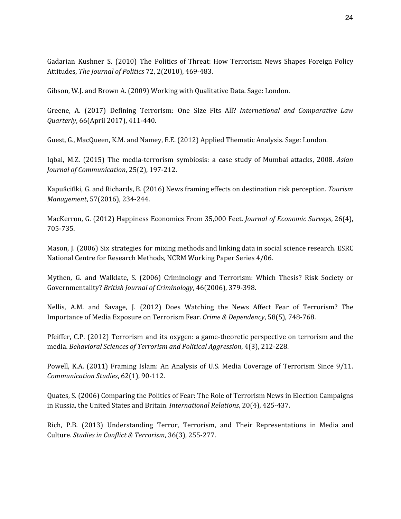Gadarian Kushner S. (2010) The Politics of Threat: How Terrorism News Shapes Foreign Policy Attitudes, *The Journal of Politics* 72, 2(2010), 469-483.

Gibson, W.J. and Brown A. (2009) Working with Qualitative Data. Sage: London.

Greene, A. (2017) Defining Terrorism: One Size Fits All? *International and Comparative Law Quarterly*, 66(April 2017), 411-440.

Guest, G., MacQueen, K.M. and Namey, E.E. (2012) Applied Thematic Analysis. Sage: London.

Iqbal, M.Z. (2015) The media-terrorism symbiosis: a case study of Mumbai attacks, 2008. *Asian Journal of Communication*, 25(2), 197-212.

Kapuścińki, G. and Richards, B. (2016) News framing effects on destination risk perception. *Tourism Management*, 57(2016), 234-244.

MacKerron, G. (2012) Happiness Economics From 35,000 Feet. *Journal of Economic Surveys*, 26(4), 705-735.

Mason, J. (2006) Six strategies for mixing methods and linking data in social science research. ESRC National Centre for Research Methods, NCRM Working Paper Series 4/06.

Mythen, G. and Walklate, S. (2006) Criminology and Terrorism: Which Thesis? Risk Society or Governmentality? *British Journal of Criminology*, 46(2006), 379-398.

Nellis, A.M. and Savage, J. (2012) Does Watching the News Affect Fear of Terrorism? The Importance of Media Exposure on Terrorism Fear. *Crime & Dependency*, 58(5), 748-768.

Pfeiffer, C.P. (2012) Terrorism and its oxygen: a game-theoretic perspective on terrorism and the media. *Behavioral Sciences of Terrorism and Political Aggression*, 4(3), 212-228.

Powell, K.A. (2011) Framing Islam: An Analysis of U.S. Media Coverage of Terrorism Since 9/11. *Communication Studies*, 62(1), 90-112.

Quates, S. (2006) Comparing the Politics of Fear: The Role of Terrorism News in Election Campaigns in Russia, the United States and Britain. *International Relations*, 20(4), 425-437.

Rich, P.B. (2013) Understanding Terror, Terrorism, and Their Representations in Media and Culture. *Studies in Conflict & Terrorism*, 36(3), 255-277.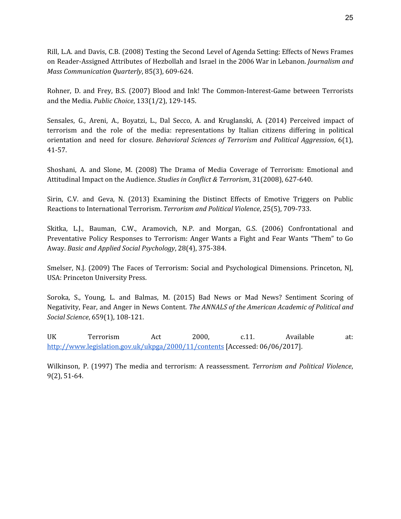Rill, L.A. and Davis, C.B. (2008) Testing the Second Level of Agenda Setting: Effects of News Frames on Reader-Assigned Attributes of Hezbollah and Israel in the 2006 War in Lebanon. *Journalism and Mass Communication Quarterly*, 85(3), 609-624.

Rohner, D. and Frey, B.S. (2007) Blood and Ink! The Common-Interest-Game between Terrorists and the Media. *Public Choice*, 133(1/2), 129-145.

Sensales, G., Areni, A., Boyatzi, L., Dal Secco, A. and Kruglanski, A. (2014) Perceived impact of terrorism and the role of the media: representations by Italian citizens differing in political orientation and need for closure. *Behavioral Sciences of Terrorism and Political Aggression*, 6(1), 41-57.

Shoshani, A. and Slone, M. (2008) The Drama of Media Coverage of Terrorism: Emotional and Attitudinal Impact on the Audience. *Studies in Conflict & Terrorism*, 31(2008), 627-640.

Sirin, C.V. and Geva, N. (2013) Examining the Distinct Effects of Emotive Triggers on Public Reactions to International Terrorism. *Terrorism and Political Violence*, 25(5), 709-733.

Skitka, L.J., Bauman, C.W., Aramovich, N.P. and Morgan, G.S. (2006) Confrontational and Preventative Policy Responses to Terrorism: Anger Wants a Fight and Fear Wants "Them" to Go Away. *Basic and Applied Social Psychology*, 28(4), 375-384.

Smelser, N.J. (2009) The Faces of Terrorism: Social and Psychological Dimensions. Princeton, NJ, USA: Princeton University Press.

Soroka, S., Young, L. and Balmas, M. (2015) Bad News or Mad News? Sentiment Scoring of Negativity, Fear, and Anger in News Content. *The ANNALS of the American Academic of Political and Social Science*, 659(1), 108-121.

UK Terrorism Act 2000, c.11. Available at[:](http://www.legislation.gov.uk/ukpga/2000/11/contents) <http://www.legislation.gov.uk/ukpga/2000/11/contents> [Accessed: 06/06/2017].

Wilkinson, P. (1997) The media and terrorism: A reassessment. *Terrorism and Political Violence*, 9(2), 51-64.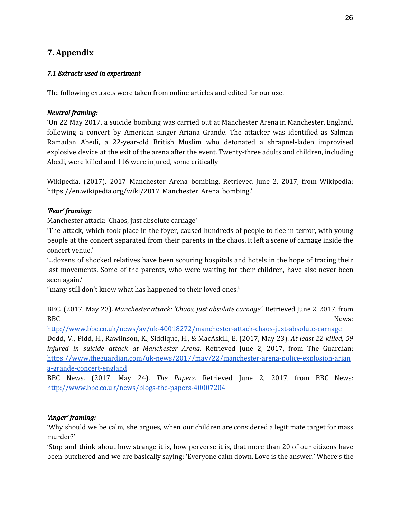# **7. Appendix**

## *7.1 Extracts used in experiment*

The following extracts were taken from online articles and edited for our use.

## *Neutral framing:*

'On 22 May 2017, a suicide bombing was carried out at Manchester Arena in Manchester, England, following a concert by American singer Ariana Grande. The attacker was identified as Salman Ramadan Abedi, a 22-year-old British Muslim who detonated a shrapnel-laden improvised explosive device at the exit of the arena after the event. Twenty-three adults and children, including Abedi, were killed and 116 were injured, some critically

Wikipedia. (2017). 2017 Manchester Arena bombing. Retrieved June 2, 2017, from Wikipedia: https://en.wikipedia.org/wiki/2017\_Manchester\_Arena\_bombing.'

## *'Fear' framing:*

Manchester attack: 'Chaos, just absolute carnage'

'The attack, which took place in the foyer, caused hundreds of people to flee in terror, with young people at the concert separated from their parents in the chaos. It left a scene of carnage inside the concert venue.'

'...dozens of shocked relatives have been scouring hospitals and hotels in the hope of tracing their last movements. Some of the parents, who were waiting for their children, have also never been seen again.'

"many still don't know what has happened to their loved ones."

BBC. (2017, May 23). *Manchester attack: 'Chaos, just absolute carnage'*. Retrieved June 2, 2017, from BBC News:

<http://www.bbc.co.uk/news/av/uk-40018272/manchester-attack-chaos-just-absolute-carnage>

Dodd, V., Pidd, H., Rawlinson, K., Siddique, H., & MacAskill, E. (2017, May 23). *At least 22 killed, 59 injured in suicide attack at Manchester Arena*. Retrieved June 2, 2017, from The Guardian: [https://www.theguardian.com/uk-news/2017/may/22/manchester-arena-police-explosion-arian](https://www.theguardian.com/uk-news/2017/may/22/manchester-arena-police-explosion-ariana-grande-concert-england) [a-grande-concert-england](https://www.theguardian.com/uk-news/2017/may/22/manchester-arena-police-explosion-ariana-grande-concert-england)

BBC News. (2017, May 24). *The Papers*. Retrieved June 2, 2017, from BBC News: <http://www.bbc.co.uk/news/blogs-the-papers-40007204>

## *'Anger' framing:*

'Why should we be calm, she argues, when our children are considered a legitimate target for mass murder?'

'Stop and think about how strange it is, how perverse it is, that more than 20 of our citizens have been butchered and we are basically saying: 'Everyone calm down. Love is the answer.' Where's the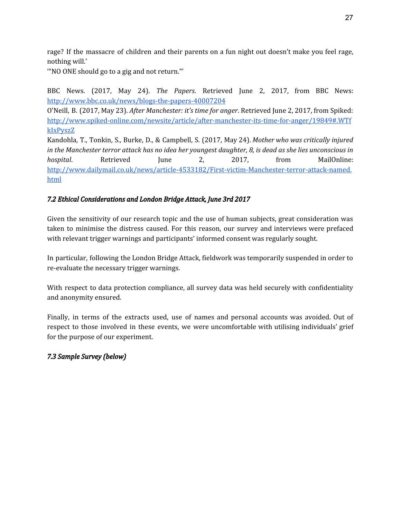rage? If the massacre of children and their parents on a fun night out doesn't make you feel rage, nothing will.'

'"NO ONE should go to a gig and not return."'

BBC News. (2017, May 24). *The Papers*. Retrieved June 2, 2017, from BBC News: <http://www.bbc.co.uk/news/blogs-the-papers-40007204>

O'Neill, B. (2017, May 23). *After Manchester: it's time for anger*. Retrieved June 2, 2017, from Spiked: [http://www.spiked-online.com/newsite/article/after-manchester-its-time-for-anger/19849#.WTf](http://www.spiked-online.com/newsite/article/after-manchester-its-time-for-anger/19849#.WTfkIxPyszZ) [kIxPyszZ](http://www.spiked-online.com/newsite/article/after-manchester-its-time-for-anger/19849#.WTfkIxPyszZ)

Kandohla, T., Tonkin, S., Burke, D., & Campbell, S. (2017, May 24). *Mother who was critically injured* in the Manchester terror attack has no idea her youngest daughter, 8, is dead as she lies unconscious in *hospital*. Retrieved June 2, 2017, from MailOnline: [http://www.dailymail.co.uk/news/article-4533182/First-victim-Manchester-terror-attack-named.](http://www.dailymail.co.uk/news/article-4533182/First-victim-Manchester-terror-attack-named.html) [html](http://www.dailymail.co.uk/news/article-4533182/First-victim-Manchester-terror-attack-named.html)

## *7.2 Ethical Considerations and London Bridge Attack, June 3rd 2017*

Given the sensitivity of our research topic and the use of human subjects, great consideration was taken to minimise the distress caused. For this reason, our survey and interviews were prefaced with relevant trigger warnings and participants' informed consent was regularly sought.

In particular, following the London Bridge Attack, fieldwork was temporarily suspended in order to re-evaluate the necessary trigger warnings.

With respect to data protection compliance, all survey data was held securely with confidentiality and anonymity ensured.

Finally, in terms of the extracts used, use of names and personal accounts was avoided. Out of respect to those involved in these events, we were uncomfortable with utilising individuals' grief for the purpose of our experiment.

## *7.3 Sample Survey (below)*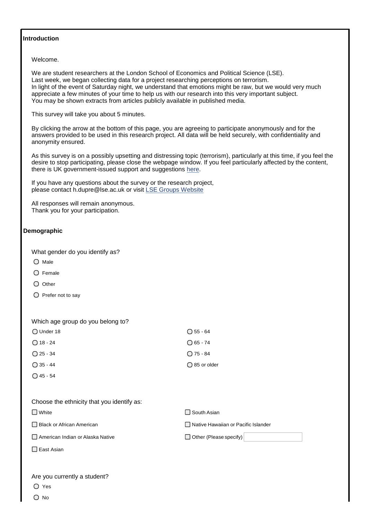#### **Introduction**

Welcome.

We are student researchers at the London School of Economics and Political Science (LSE). Last week, we began collecting data for a project researching perceptions on terrorism. In light of the event of Saturday night, we understand that emotions might be raw, but we would very much appreciate a few minutes of your time to help us with our research into this very important subject. You may be shown extracts from articles publicly available in published media.

This survey will take you about 5 minutes.

By clicking the arrow at the bottom of this page, you are agreeing to participate anonymously and for the answers provided to be used in this research project. All data will be held securely, with confidentiality and anonymity ensured.

As this survey is on a possibly upsetting and distressing topic (terrorism), particularly at this time, if you feel the desire to stop participating, please close the webpage window. If you feel particularly affected by the content, there is UK government-issued support and suggestions [here.](https://www.gov.uk/government/uploads/system/uploads/attachment_data/file/615682/Manchester_psychological_care_leaflet.pdf)

If you have any questions about the survey or the research project, please contact [h.dupre@lse.ac.uk](mailto:h.dupre@lse.ac.uk) or visit [LSE Groups Website](http://www.lse.ac.uk/intranet/LSEServices/TLC/Research-informed-education-and-LSE-GROUPS/lseGroups.aspx)

All responses will remain anonymous. Thank you for your participation.

## **Demographic**

What gender do you identify as?

- $O$  Male
- Female
- $O$  Other
- $\bigcirc$  Prefer not to say

Which age group do you belong to?

| $\bigcirc$ Under 18 | $\bigcap 55 - 64$     |
|---------------------|-----------------------|
| $\bigcirc$ 18 - 24  | $\bigcap 65 - 74$     |
| $\bigcirc$ 25 - 34  | $\bigcap$ 75 - 84     |
| $\bigcirc$ 35 - 44  | $\bigcap$ 85 or older |

 $\bigcap$  45 - 54

| Choose the ethnicity that you identify as: |  |
|--------------------------------------------|--|
|--------------------------------------------|--|

 $\Box$  White  $\Box$  South Asian

□ Black or African American Native Hawaiian or Pacific Islander

□ American Indian or Alaska Native Other (Please specify)

East Asian

#### Are you currently a student?

Yes

O No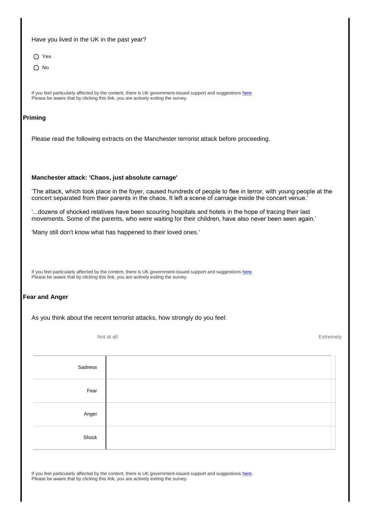### Have you lived in the UK in the past year?

- O Yes
- $\bigcirc$  No

If you feel particularly affected by the content, there is UK government-issued support and suggestions [here.](https://www.gov.uk/government/uploads/system/uploads/attachment_data/file/615682/Manchester_psychological_care_leaflet.pdf) Please be aware that by clicking this link, you are actively exiting the survey.

## **Priming**

Please read the following extracts on the Manchester terrorist attack before proceeding.

#### **Manchester attack: 'Chaos, just absolute carnage'**

'The attack, which took place in the foyer, caused hundreds of people to flee in terror, with young people at the concert separated from their parents in the chaos. It left a scene of carnage inside the concert venue.'

'...dozens of shocked relatives have been scouring hospitals and hotels in the hope of tracing their last movements. Some of the parents, who were waiting for their children, have also never been seen again.'

'Many still don't know what has happened to their loved ones.'

If you feel particularly affected by the content, there is UK government-issued support and suggestions [here.](https://www.gov.uk/government/uploads/system/uploads/attachment_data/file/615682/Manchester_psychological_care_leaflet.pdf) Please be aware that by clicking this link, you are actively exiting the survey.

## **Fear and Anger**

As you think about the recent terrorist attacks, how strongly do you feel:

Not at all Extremely

| Sadness |  |
|---------|--|
| Fear    |  |
| Anger   |  |
| Shock   |  |

If you feel particularly affected by the content, there is UK government-issued support and suggestions [here.](https://www.gov.uk/government/uploads/system/uploads/attachment_data/file/615682/Manchester_psychological_care_leaflet.pdf) Please be aware that by clicking this link, you are actively exiting the survey.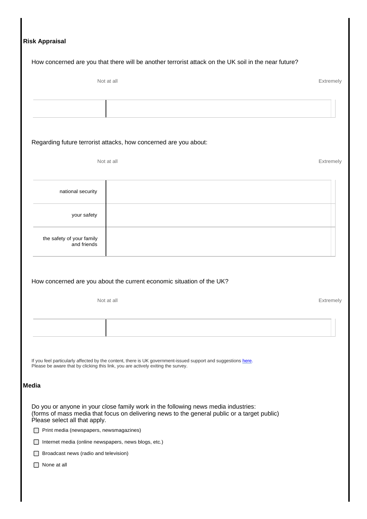|                                                                                  | How concerned are you that there will be another terrorist attack on the UK soil in the near future?                                                                               |
|----------------------------------------------------------------------------------|------------------------------------------------------------------------------------------------------------------------------------------------------------------------------------|
| Not at all                                                                       | Extremely                                                                                                                                                                          |
|                                                                                  |                                                                                                                                                                                    |
|                                                                                  |                                                                                                                                                                                    |
| Regarding future terrorist attacks, how concerned are you about:                 |                                                                                                                                                                                    |
| Not at all                                                                       | Extremely                                                                                                                                                                          |
| national security                                                                |                                                                                                                                                                                    |
| your safety                                                                      |                                                                                                                                                                                    |
| the safety of your family<br>and friends                                         |                                                                                                                                                                                    |
|                                                                                  | How concerned are you about the current economic situation of the UK?                                                                                                              |
|                                                                                  |                                                                                                                                                                                    |
| Not at all                                                                       | Extremely                                                                                                                                                                          |
|                                                                                  |                                                                                                                                                                                    |
| Please be aware that by clicking this link, you are actively exiting the survey. | If you feel particularly affected by the content, there is UK government-issued support and suggestions here.                                                                      |
| <b>Media</b>                                                                     |                                                                                                                                                                                    |
| Please select all that apply.                                                    | Do you or anyone in your close family work in the following news media industries:<br>(forms of mass media that focus on delivering news to the general public or a target public) |
| Print media (newspapers, newsmagazines)                                          |                                                                                                                                                                                    |
| Internet media (online newspapers, news blogs, etc.)                             |                                                                                                                                                                                    |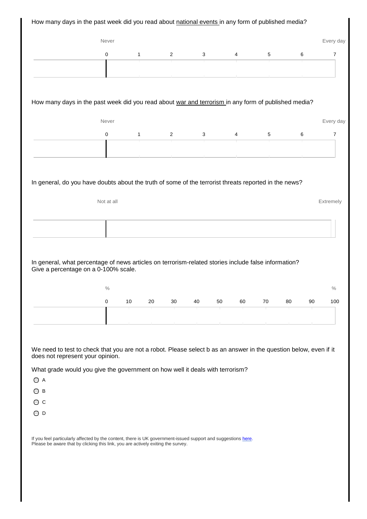| $\pmb{0}$<br>1<br>$\overline{2}$<br>3<br>5<br>6<br>4<br>How many days in the past week did you read about war and terrorism in any form of published media?<br>Never<br>6<br>0<br>2<br>3<br>5<br>1<br>4<br>In general, do you have doubts about the truth of some of the terrorist threats reported in the news?<br>Not at all<br>Extremely<br>In general, what percentage of news articles on terrorism-related stories include false information?<br>Give a percentage on a 0-100% scale.<br>$\%$<br>0<br>10<br>20<br>30<br>40<br>50<br>60<br>70<br>80<br>90 |                                            | Never |  |  |  |  | Every day   |
|----------------------------------------------------------------------------------------------------------------------------------------------------------------------------------------------------------------------------------------------------------------------------------------------------------------------------------------------------------------------------------------------------------------------------------------------------------------------------------------------------------------------------------------------------------------|--------------------------------------------|-------|--|--|--|--|-------------|
|                                                                                                                                                                                                                                                                                                                                                                                                                                                                                                                                                                |                                            |       |  |  |  |  | 7           |
|                                                                                                                                                                                                                                                                                                                                                                                                                                                                                                                                                                |                                            |       |  |  |  |  |             |
|                                                                                                                                                                                                                                                                                                                                                                                                                                                                                                                                                                |                                            |       |  |  |  |  |             |
|                                                                                                                                                                                                                                                                                                                                                                                                                                                                                                                                                                |                                            |       |  |  |  |  |             |
|                                                                                                                                                                                                                                                                                                                                                                                                                                                                                                                                                                |                                            |       |  |  |  |  |             |
|                                                                                                                                                                                                                                                                                                                                                                                                                                                                                                                                                                |                                            |       |  |  |  |  | Every day   |
|                                                                                                                                                                                                                                                                                                                                                                                                                                                                                                                                                                |                                            |       |  |  |  |  | 7           |
|                                                                                                                                                                                                                                                                                                                                                                                                                                                                                                                                                                |                                            |       |  |  |  |  |             |
|                                                                                                                                                                                                                                                                                                                                                                                                                                                                                                                                                                |                                            |       |  |  |  |  |             |
|                                                                                                                                                                                                                                                                                                                                                                                                                                                                                                                                                                |                                            |       |  |  |  |  |             |
|                                                                                                                                                                                                                                                                                                                                                                                                                                                                                                                                                                |                                            |       |  |  |  |  |             |
|                                                                                                                                                                                                                                                                                                                                                                                                                                                                                                                                                                |                                            |       |  |  |  |  |             |
|                                                                                                                                                                                                                                                                                                                                                                                                                                                                                                                                                                |                                            |       |  |  |  |  |             |
|                                                                                                                                                                                                                                                                                                                                                                                                                                                                                                                                                                |                                            |       |  |  |  |  |             |
|                                                                                                                                                                                                                                                                                                                                                                                                                                                                                                                                                                |                                            |       |  |  |  |  |             |
|                                                                                                                                                                                                                                                                                                                                                                                                                                                                                                                                                                |                                            |       |  |  |  |  |             |
|                                                                                                                                                                                                                                                                                                                                                                                                                                                                                                                                                                |                                            |       |  |  |  |  |             |
|                                                                                                                                                                                                                                                                                                                                                                                                                                                                                                                                                                |                                            |       |  |  |  |  |             |
| We need to test to check that you are not a robot. Please select b as an answer in the question below, even if it<br>does not represent your opinion.                                                                                                                                                                                                                                                                                                                                                                                                          |                                            |       |  |  |  |  |             |
|                                                                                                                                                                                                                                                                                                                                                                                                                                                                                                                                                                |                                            |       |  |  |  |  |             |
| What grade would you give the government on how well it deals with terrorism?                                                                                                                                                                                                                                                                                                                                                                                                                                                                                  |                                            |       |  |  |  |  |             |
|                                                                                                                                                                                                                                                                                                                                                                                                                                                                                                                                                                |                                            |       |  |  |  |  |             |
|                                                                                                                                                                                                                                                                                                                                                                                                                                                                                                                                                                |                                            |       |  |  |  |  |             |
|                                                                                                                                                                                                                                                                                                                                                                                                                                                                                                                                                                | $\bigcirc$ A<br>OВ<br>Οс<br>O <sub>D</sub> |       |  |  |  |  | $\%$<br>100 |